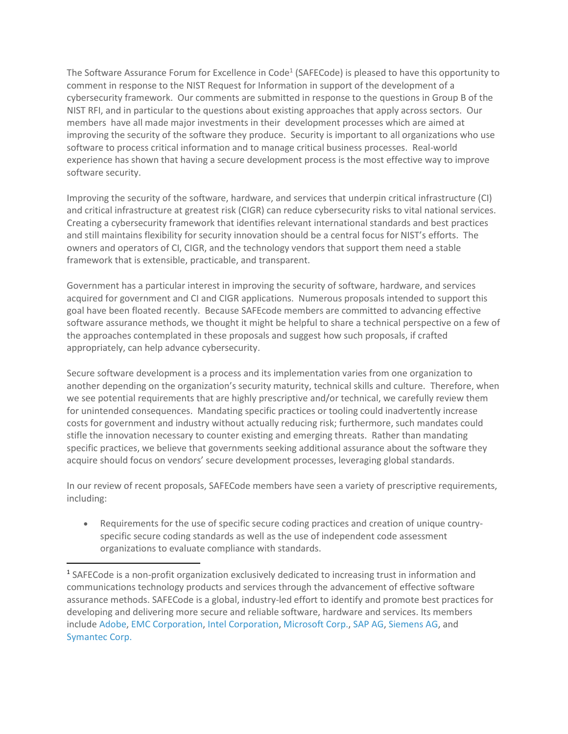The Software Assurance Forum for Excellence in Code<sup>1</sup> (SAFECode) is pleased to have this opportunity to comment in response to the NIST Request for Information in support of the development of a cybersecurity framework. Our comments are submitted in response to the questions in Group B of the NIST RFI, and in particular to the questions about existing approaches that apply across sectors. Our members have all made major investments in their development processes which are aimed at improving the security of the software they produce. Security is important to all organizations who use software to process critical information and to manage critical business processes. Real-world experience has shown that having a secure development process is the most effective way to improve software security.

Improving the security of the software, hardware, and services that underpin critical infrastructure (CI) and critical infrastructure at greatest risk (CIGR) can reduce cybersecurity risks to vital national services. Creating a cybersecurity framework that identifies relevant international standards and best practices and still maintains flexibility for security innovation should be a central focus for NIST's efforts. The owners and operators of CI, CIGR, and the technology vendors that support them need a stable framework that is extensible, practicable, and transparent.

Government has a particular interest in improving the security of software, hardware, and services acquired for government and CI and CIGR applications. Numerous proposals intended to support this goal have been floated recently. Because SAFEcode members are committed to advancing effective software assurance methods, we thought it might be helpful to share a technical perspective on a few of the approaches contemplated in these proposals and suggest how such proposals, if crafted appropriately, can help advance cybersecurity.

Secure software development is a process and its implementation varies from one organization to another depending on the organization's security maturity, technical skills and culture. Therefore, when we see potential requirements that are highly prescriptive and/or technical, we carefully review them for unintended consequences. Mandating specific practices or tooling could inadvertently increase costs for government and industry without actually reducing risk; furthermore, such mandates could stifle the innovation necessary to counter existing and emerging threats. Rather than mandating specific practices, we believe that governments seeking additional assurance about the software they acquire should focus on vendors' secure development processes, leveraging global standards.

In our review of recent proposals, SAFECode members have seen a variety of prescriptive requirements, including:

 Requirements for the use of specific secure coding practices and creation of unique countryspecific secure coding standards as well as the use of independent code assessment organizations to evaluate compliance with standards.

 $\overline{\phantom{a}}$ 

<sup>&</sup>lt;sup>1</sup> SAFECode is a non-profit organization exclusively dedicated to increasing trust in information and communications technology products and services through the advancement of effective software assurance methods. SAFECode is a global, industry-led effort to identify and promote best practices for developing and delivering more secure and reliable software, hardware and services. Its members include [Adobe,](http://www.adobe.com/) [EMC Corporation,](http://www.emc.com/) [Intel Corporation,](http://www.intel.com/) [Microsoft Corp.,](http://www.microsoft.com/) [SAP AG,](http://www.sap.com/) [Siemens AG,](http://www.siemens.com/) and [Symantec Corp.](http://www.symantec.com/)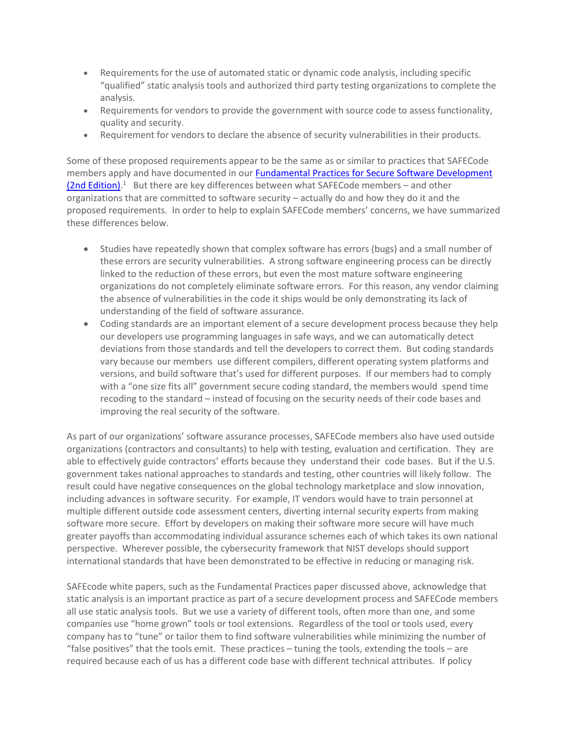- Requirements for the use of automated static or dynamic code analysis, including specific "qualified" static analysis tools and authorized third party testing organizations to complete the analysis.
- Requirements for vendors to provide the government with source code to assess functionality, quality and security.
- Requirement for vendors to declare the absence of security vulnerabilities in their products.

Some of these proposed requirements appear to be the same as or similar to practices that SAFECode members apply and have documented in our [Fundamental Practices for Secure Software Development](http://www.safecode.org/publications/SAFECode_Dev_Practices0211.pdf)  [\(2nd Edition\).](http://www.safecode.org/publications/SAFECode_Dev_Practices0211.pdf)<sup>1</sup> But there are key differences between what SAFECode members - and other organizations that are committed to software security – actually do and how they do it and the proposed requirements. In order to help to explain SAFECode members' concerns, we have summarized these differences below.

- Studies have repeatedly shown that complex software has errors (bugs) and a small number of these errors are security vulnerabilities. A strong software engineering process can be directly linked to the reduction of these errors, but even the most mature software engineering organizations do not completely eliminate software errors. For this reason, any vendor claiming the absence of vulnerabilities in the code it ships would be only demonstrating its lack of understanding of the field of software assurance.
- Coding standards are an important element of a secure development process because they help our developers use programming languages in safe ways, and we can automatically detect deviations from those standards and tell the developers to correct them. But coding standards vary because our members use different compilers, different operating system platforms and versions, and build software that's used for different purposes. If our members had to comply with a "one size fits all" government secure coding standard, the members would spend time recoding to the standard – instead of focusing on the security needs of their code bases and improving the real security of the software.

As part of our organizations' software assurance processes, SAFECode members also have used outside organizations (contractors and consultants) to help with testing, evaluation and certification. They are able to effectively guide contractors' efforts because they understand their code bases. But if the U.S. government takes national approaches to standards and testing, other countries will likely follow. The result could have negative consequences on the global technology marketplace and slow innovation, including advances in software security. For example, IT vendors would have to train personnel at multiple different outside code assessment centers, diverting internal security experts from making software more secure. Effort by developers on making their software more secure will have much greater payoffs than accommodating individual assurance schemes each of which takes its own national perspective. Wherever possible, the cybersecurity framework that NIST develops should support international standards that have been demonstrated to be effective in reducing or managing risk.

SAFEcode white papers, such as the Fundamental Practices paper discussed above, acknowledge that static analysis is an important practice as part of a secure development process and SAFECode members all use static analysis tools. But we use a variety of different tools, often more than one, and some companies use "home grown" tools or tool extensions. Regardless of the tool or tools used, every company has to "tune" or tailor them to find software vulnerabilities while minimizing the number of "false positives" that the tools emit. These practices – tuning the tools, extending the tools – are required because each of us has a different code base with different technical attributes. If policy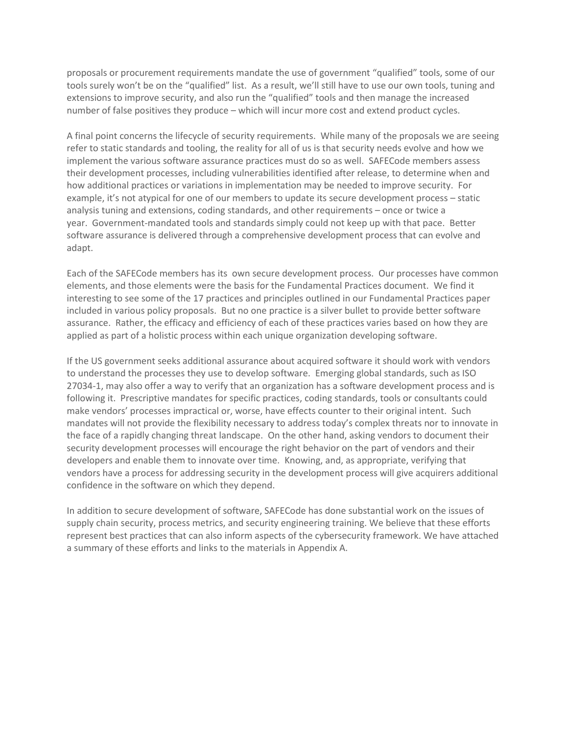proposals or procurement requirements mandate the use of government "qualified" tools, some of our tools surely won't be on the "qualified" list. As a result, we'll still have to use our own tools, tuning and extensions to improve security, and also run the "qualified" tools and then manage the increased number of false positives they produce – which will incur more cost and extend product cycles.

A final point concerns the lifecycle of security requirements. While many of the proposals we are seeing refer to static standards and tooling, the reality for all of us is that security needs evolve and how we implement the various software assurance practices must do so as well. SAFECode members assess their development processes, including vulnerabilities identified after release, to determine when and how additional practices or variations in implementation may be needed to improve security. For example, it's not atypical for one of our members to update its secure development process – static analysis tuning and extensions, coding standards, and other requirements – once or twice a year. Government-mandated tools and standards simply could not keep up with that pace. Better software assurance is delivered through a comprehensive development process that can evolve and adapt.

Each of the SAFECode members has its own secure development process. Our processes have common elements, and those elements were the basis for the Fundamental Practices document. We find it interesting to see some of the 17 practices and principles outlined in our Fundamental Practices paper included in various policy proposals. But no one practice is a silver bullet to provide better software assurance. Rather, the efficacy and efficiency of each of these practices varies based on how they are applied as part of a holistic process within each unique organization developing software.

If the US government seeks additional assurance about acquired software it should work with vendors to understand the processes they use to develop software. Emerging global standards, such as ISO 27034-1, may also offer a way to verify that an organization has a software development process and is following it. Prescriptive mandates for specific practices, coding standards, tools or consultants could make vendors' processes impractical or, worse, have effects counter to their original intent. Such mandates will not provide the flexibility necessary to address today's complex threats nor to innovate in the face of a rapidly changing threat landscape. On the other hand, asking vendors to document their security development processes will encourage the right behavior on the part of vendors and their developers and enable them to innovate over time. Knowing, and, as appropriate, verifying that vendors have a process for addressing security in the development process will give acquirers additional confidence in the software on which they depend.

In addition to secure development of software, SAFECode has done substantial work on the issues of supply chain security, process metrics, and security engineering training. We believe that these efforts represent best practices that can also inform aspects of the cybersecurity framework. We have attached a summary of these efforts and links to the materials in Appendix A.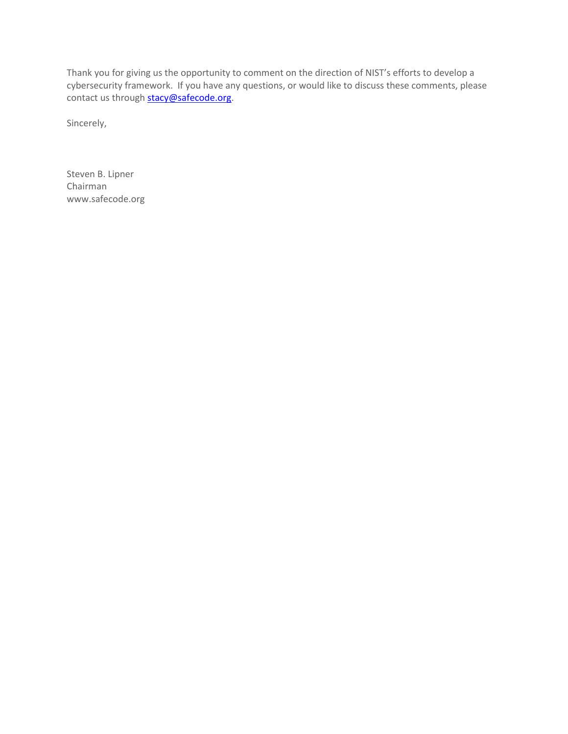Thank you for giving us the opportunity to comment on the direction of NIST's efforts to develop a cybersecurity framework. If you have any questions, or would like to discuss these comments, please contact us through **stacy@safecode.org**.

Sincerely,

Steven B. Lipner Chairman www.safecode.org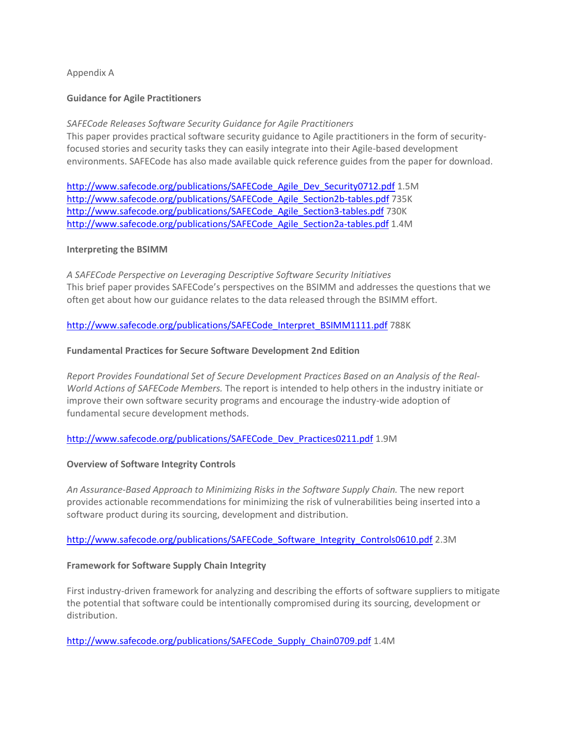# Appendix A

#### **Guidance for Agile Practitioners**

# *SAFECode Releases Software Security Guidance for Agile Practitioners*

This paper provides practical software security guidance to Agile practitioners in the form of securityfocused stories and security tasks they can easily integrate into their Agile-based development environments. SAFECode has also made available quick reference guides from the paper for download.

[http://www.safecode.org/publications/SAFECode\\_Agile\\_Dev\\_Security0712.pdf](http://www.safecode.org/publications/SAFECode_Agile_Dev_Security0712.pdf) 1.5M http://www.safecode.org/publications/SAFECode Agile Section2b-tables.pdf 735K [http://www.safecode.org/publications/SAFECode\\_Agile\\_Section3-tables.pdf](http://www.safecode.org/publications/SAFECode_Agile_Section3-tables.pdf) 730K http://www.safecode.org/publications/SAFECode Agile Section2a-tables.pdf 1.4M

#### **Interpreting the BSIMM**

*A SAFECode Perspective on Leveraging Descriptive Software Security Initiatives* This brief paper provides SAFECode's perspectives on the BSIMM and addresses the questions that we often get about how our guidance relates to the data released through the BSIMM effort.

http://www.safecode.org/publications/SAFECode Interpret\_BSIMM1111.pdf 788K

#### **Fundamental Practices for Secure Software Development 2nd Edition**

*Report Provides Foundational Set of Secure Development Practices Based on an Analysis of the Real-World Actions of SAFECode Members.* The report is intended to help others in the industry initiate or improve their own software security programs and encourage the industry-wide adoption of fundamental secure development methods.

# [http://www.safecode.org/publications/SAFECode\\_Dev\\_Practices0211.pdf](http://www.safecode.org/publications/SAFECode_Dev_Practices0211.pdf) 1.9M

#### **Overview of Software Integrity Controls**

*An Assurance-Based Approach to Minimizing Risks in the Software Supply Chain.* The new report provides actionable recommendations for minimizing the risk of vulnerabilities being inserted into a software product during its sourcing, development and distribution.

# [http://www.safecode.org/publications/SAFECode\\_Software\\_Integrity\\_Controls0610.pdf](http://www.safecode.org/publications/SAFECode_Software_Integrity_Controls0610.pdf) 2.3M

# **Framework for Software Supply Chain Integrity**

First industry-driven framework for analyzing and describing the efforts of software suppliers to mitigate the potential that software could be intentionally compromised during its sourcing, development or distribution.

[http://www.safecode.org/publications/SAFECode\\_Supply\\_Chain0709.pdf](http://www.safecode.org/publications/SAFECode_Supply_Chain0709.pdf) 1.4M